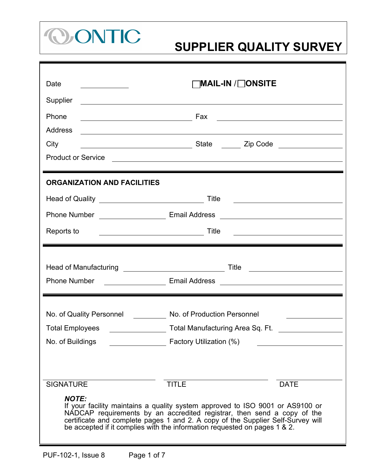

| Date                                                                                                                                                                                                                                                                                                                                     | ]MAIL-IN /□ONSITE                                                                                                                                                                                                             |  |  |  |
|------------------------------------------------------------------------------------------------------------------------------------------------------------------------------------------------------------------------------------------------------------------------------------------------------------------------------------------|-------------------------------------------------------------------------------------------------------------------------------------------------------------------------------------------------------------------------------|--|--|--|
| Supplier                                                                                                                                                                                                                                                                                                                                 | and the control of the control of the control of the control of the control of the control of the control of the                                                                                                              |  |  |  |
| Phone                                                                                                                                                                                                                                                                                                                                    | Fax<br><u> 1980 - Johann Barn, mars ann an t-Amhain Aonaich an t-Aonaich an t-Aonaich ann an t-Aonaich ann an t-Aonaich</u>                                                                                                   |  |  |  |
| <b>Address</b>                                                                                                                                                                                                                                                                                                                           | <u> 1989 - Johann Stoff, amerikansk politiker (d. 1989)</u>                                                                                                                                                                   |  |  |  |
| City                                                                                                                                                                                                                                                                                                                                     |                                                                                                                                                                                                                               |  |  |  |
| <b>Product or Service</b>                                                                                                                                                                                                                                                                                                                | the control of the control of the control of the control of the control of the control of the control of the control of the control of the control of the control of the control of the control of the control of the control |  |  |  |
| <b>ORGANIZATION AND FACILITIES</b>                                                                                                                                                                                                                                                                                                       |                                                                                                                                                                                                                               |  |  |  |
| Head of Quality ________________________________                                                                                                                                                                                                                                                                                         | Title<br><u> 1989 - Johann Barbara, martxa alemaniar amerikan a</u>                                                                                                                                                           |  |  |  |
|                                                                                                                                                                                                                                                                                                                                          |                                                                                                                                                                                                                               |  |  |  |
| Reports to                                                                                                                                                                                                                                                                                                                               | Title                                                                                                                                                                                                                         |  |  |  |
|                                                                                                                                                                                                                                                                                                                                          |                                                                                                                                                                                                                               |  |  |  |
| Head of Manufacturing _____________________________                                                                                                                                                                                                                                                                                      | Title                                                                                                                                                                                                                         |  |  |  |
| <b>Phone Number</b>                                                                                                                                                                                                                                                                                                                      |                                                                                                                                                                                                                               |  |  |  |
| No. of Quality Personnel No. of Production Personnel                                                                                                                                                                                                                                                                                     |                                                                                                                                                                                                                               |  |  |  |
| <b>Total Employees</b>                                                                                                                                                                                                                                                                                                                   | Total Manufacturing Area Sq. Ft.                                                                                                                                                                                              |  |  |  |
| No. of Buildings                                                                                                                                                                                                                                                                                                                         | Factory Utilization (%)                                                                                                                                                                                                       |  |  |  |
|                                                                                                                                                                                                                                                                                                                                          |                                                                                                                                                                                                                               |  |  |  |
|                                                                                                                                                                                                                                                                                                                                          |                                                                                                                                                                                                                               |  |  |  |
| <b>SIGNATURE</b>                                                                                                                                                                                                                                                                                                                         | <b>TITLE</b><br><b>DATE</b>                                                                                                                                                                                                   |  |  |  |
| <b>NOTE:</b><br>If your facility maintains a quality system approved to ISO 9001 or AS9100 or<br>NADCAP requirements by an accredited registrar, then send a copy of the<br>certificate and complete pages 1 and 2. A copy of the Supplier Self-Survey will<br>be accepted if it complies with the information requested on pages 1 & 2. |                                                                                                                                                                                                                               |  |  |  |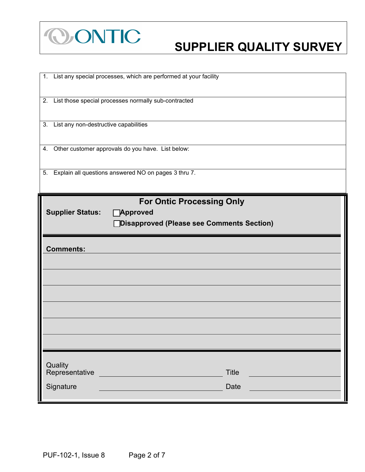

# **COONTIC SUPPLIER QUALITY SURVEY**

| 1. List any special processes, which are performed at your facility |
|---------------------------------------------------------------------|
| 2. List those special processes normally sub-contracted             |
| 3. List any non-destructive capabilities                            |
| 4. Other customer approvals do you have. List below:                |
| 5. Explain all questions answered NO on pages 3 thru 7.             |
| <b>For Ontic Processing Only</b>                                    |
| <b>Supplier Status:</b><br>□Approved                                |
| □Disapproved (Please see Comments Section)                          |
|                                                                     |
| <b>Comments:</b>                                                    |
|                                                                     |
|                                                                     |
|                                                                     |
|                                                                     |
|                                                                     |
|                                                                     |
|                                                                     |
| Quality<br>Representative<br><b>Title</b>                           |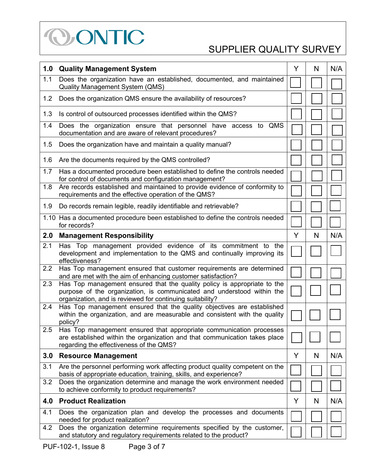

| 1.0 | <b>Quality Management System</b>                                                                                                                                                                                | Y | N | N/A |
|-----|-----------------------------------------------------------------------------------------------------------------------------------------------------------------------------------------------------------------|---|---|-----|
| 1.1 | Does the organization have an established, documented, and maintained<br><b>Quality Management System (QMS)</b>                                                                                                 |   |   |     |
| 1.2 | Does the organization QMS ensure the availability of resources?                                                                                                                                                 |   |   |     |
| 1.3 | Is control of outsourced processes identified within the QMS?                                                                                                                                                   |   |   |     |
| 1.4 | Does the organization ensure that personnel have access to QMS<br>documentation and are aware of relevant procedures?                                                                                           |   |   |     |
| 1.5 | Does the organization have and maintain a quality manual?                                                                                                                                                       |   |   |     |
| 1.6 | Are the documents required by the QMS controlled?                                                                                                                                                               |   |   |     |
| 1.7 | Has a documented procedure been established to define the controls needed<br>for control of documents and configuration management?                                                                             |   |   |     |
| 1.8 | Are records established and maintained to provide evidence of conformity to<br>requirements and the effective operation of the QMS?                                                                             |   |   |     |
| 1.9 | Do records remain legible, readily identifiable and retrievable?                                                                                                                                                |   |   |     |
|     | 1.10 Has a documented procedure been established to define the controls needed<br>for records?                                                                                                                  |   |   |     |
| 2.0 | <b>Management Responsibility</b>                                                                                                                                                                                | Y | N | N/A |
| 2.1 | Has Top management provided evidence of its commitment to the<br>development and implementation to the QMS and continually improving its<br>effectiveness?                                                      |   |   |     |
| 2.2 | Has Top management ensured that customer requirements are determined<br>and are met with the aim of enhancing customer satisfaction?                                                                            |   |   |     |
| 2.3 | Has Top management ensured that the quality policy is appropriate to the<br>purpose of the organization, is communicated and understood within the<br>organization, and is reviewed for continuing suitability? |   |   |     |
| 2.4 | Has Top management ensured that the quality objectives are established<br>within the organization, and are measurable and consistent with the quality<br>policy?                                                |   |   |     |
| 2.5 | Has Top management ensured that appropriate communication processes<br>are established within the organization and that communication takes place<br>regarding the effectiveness of the QMS?                    |   |   |     |
| 3.0 | <b>Resource Management</b>                                                                                                                                                                                      | Y | N | N/A |
| 3.1 | Are the personnel performing work affecting product quality competent on the<br>basis of appropriate education, training, skills, and experience?                                                               |   |   |     |
| 3.2 | Does the organization determine and manage the work environment needed<br>to achieve conformity to product requirements?                                                                                        |   |   |     |
| 4.0 | <b>Product Realization</b>                                                                                                                                                                                      | Y | N | N/A |
| 4.1 | Does the organization plan and develop the processes and documents<br>needed for product realization?                                                                                                           |   |   |     |
| 4.2 | Does the organization determine requirements specified by the customer,<br>and statutory and regulatory requirements related to the product?                                                                    |   |   |     |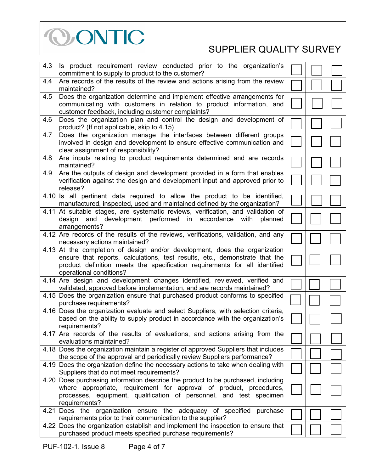

| 4.3 | Is product requirement review conducted prior to the organization's<br>commitment to supply to product to the customer?                                                                                                                                            |  |  |
|-----|--------------------------------------------------------------------------------------------------------------------------------------------------------------------------------------------------------------------------------------------------------------------|--|--|
| 4.4 | Are records of the results of the review and actions arising from the review<br>maintained?                                                                                                                                                                        |  |  |
|     |                                                                                                                                                                                                                                                                    |  |  |
| 4.5 | Does the organization determine and implement effective arrangements for<br>communicating with customers in relation to product information, and<br>customer feedback, including customer complaints?                                                              |  |  |
| 4.6 | Does the organization plan and control the design and development of<br>product? (If not applicable, skip to 4.15)                                                                                                                                                 |  |  |
| 4.7 | Does the organization manage the interfaces between different groups<br>involved in design and development to ensure effective communication and<br>clear assignment of responsibility?                                                                            |  |  |
| 4.8 | Are inputs relating to product requirements determined and are records<br>maintained?                                                                                                                                                                              |  |  |
| 4.9 | Are the outputs of design and development provided in a form that enables<br>verification against the design and development input and approved prior to<br>release?                                                                                               |  |  |
|     | 4.10 Is all pertinent data required to allow the product to be identified,<br>manufactured, inspected, used and maintained defined by the organization?                                                                                                            |  |  |
|     | 4.11 At suitable stages, are systematic reviews, verification, and validation of<br>development performed<br>in accordance with<br>design<br>and<br>planned<br>arrangements?                                                                                       |  |  |
|     | 4.12 Are records of the results of the reviews, verifications, validation, and any<br>necessary actions maintained?                                                                                                                                                |  |  |
|     | 4.13 At the completion of design and/or development, does the organization<br>ensure that reports, calculations, test results, etc., demonstrate that the<br>product definition meets the specification requirements for all identified<br>operational conditions? |  |  |
|     | 4.14 Are design and development changes identified, reviewed, verified and<br>validated, approved before implementation, and are records maintained?                                                                                                               |  |  |
|     | 4.15 Does the organization ensure that purchased product conforms to specified<br>purchase requirements?                                                                                                                                                           |  |  |
|     | 4.16 Does the organization evaluate and select Suppliers, with selection criteria,<br>based on the ability to supply product in accordance with the organization's<br>requirements?                                                                                |  |  |
|     | 4.17 Are records of the results of evaluations, and actions arising from the<br>evaluations maintained?                                                                                                                                                            |  |  |
|     | 4.18 Does the organization maintain a register of approved Suppliers that includes<br>the scope of the approval and periodically review Suppliers performance?                                                                                                     |  |  |
|     | 4.19 Does the organization define the necessary actions to take when dealing with<br>Suppliers that do not meet requirements?                                                                                                                                      |  |  |
|     | 4.20 Does purchasing information describe the product to be purchased, including                                                                                                                                                                                   |  |  |
|     |                                                                                                                                                                                                                                                                    |  |  |
|     | where appropriate, requirement for approval of product, procedures,                                                                                                                                                                                                |  |  |
|     | processes, equipment, qualification of personnel, and test specimen<br>requirements?                                                                                                                                                                               |  |  |
|     | 4.21 Does the organization ensure the adequacy of specified purchase                                                                                                                                                                                               |  |  |
|     | requirements prior to their communication to the supplier?                                                                                                                                                                                                         |  |  |
|     | 4.22 Does the organization establish and implement the inspection to ensure that<br>purchased product meets specified purchase requirements?                                                                                                                       |  |  |
|     |                                                                                                                                                                                                                                                                    |  |  |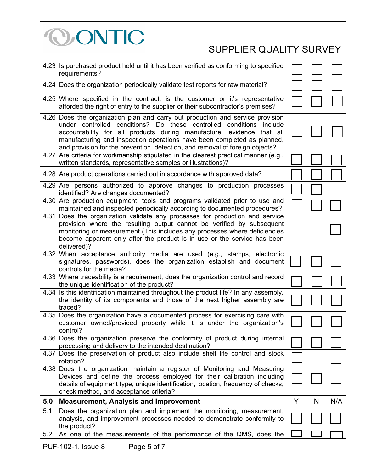

|      | 4.23 Is purchased product held until it has been verified as conforming to specified<br>requirements?                                                                                                                                                                                                                                                                                     |   |   |     |
|------|-------------------------------------------------------------------------------------------------------------------------------------------------------------------------------------------------------------------------------------------------------------------------------------------------------------------------------------------------------------------------------------------|---|---|-----|
|      | 4.24 Does the organization periodically validate test reports for raw material?                                                                                                                                                                                                                                                                                                           |   |   |     |
|      | 4.25 Where specified in the contract, is the customer or it's representative<br>afforded the right of entry to the supplier or their subcontractor's premises?                                                                                                                                                                                                                            |   |   |     |
|      | 4.26 Does the organization plan and carry out production and service provision<br>under controlled conditions? Do these controlled conditions include<br>accountability for all products during manufacture, evidence that all<br>manufacturing and inspection operations have been completed as planned,<br>and provision for the prevention, detection, and removal of foreign objects? |   |   |     |
|      | 4.27 Are criteria for workmanship stipulated in the clearest practical manner (e.g.,<br>written standards, representative samples or illustrations)?                                                                                                                                                                                                                                      |   |   |     |
|      | 4.28 Are product operations carried out in accordance with approved data?                                                                                                                                                                                                                                                                                                                 |   |   |     |
|      | 4.29 Are persons authorized to approve changes to production processes<br>identified? Are changes documented?                                                                                                                                                                                                                                                                             |   |   |     |
|      | 4.30 Are production equipment, tools and programs validated prior to use and<br>maintained and inspected periodically according to documented procedures?                                                                                                                                                                                                                                 |   |   |     |
| 4.31 | Does the organization validate any processes for production and service<br>provision where the resulting output cannot be verified by subsequent<br>monitoring or measurement (This includes any processes where deficiencies<br>become apparent only after the product is in use or the service has been<br>delivered)?                                                                  |   |   |     |
|      | 4.32 When acceptance authority media are used (e.g., stamps, electronic<br>signatures, passwords), does the organization establish and document<br>controls for the media?                                                                                                                                                                                                                |   |   |     |
|      | 4.33 Where traceability is a requirement, does the organization control and record<br>the unique identification of the product?                                                                                                                                                                                                                                                           |   |   |     |
|      | 4.34 Is this identification maintained throughout the product life? In any assembly,<br>the identity of its components and those of the next higher assembly are<br>traced?                                                                                                                                                                                                               |   |   |     |
|      | 4.35 Does the organization have a documented process for exercising care with<br>customer owned/provided property while it is under the organization's<br>control?                                                                                                                                                                                                                        |   |   |     |
|      | 4.36 Does the organization preserve the conformity of product during internal<br>processing and delivery to the intended destination?                                                                                                                                                                                                                                                     |   |   |     |
|      | 4.37 Does the preservation of product also include shelf life control and stock<br>rotation?                                                                                                                                                                                                                                                                                              |   |   |     |
|      | 4.38 Does the organization maintain a register of Monitoring and Measuring<br>Devices and define the process employed for their calibration including<br>details of equipment type, unique identification, location, frequency of checks,<br>check method, and acceptance criteria?                                                                                                       |   |   |     |
| 5.0  | <b>Measurement, Analysis and Improvement</b>                                                                                                                                                                                                                                                                                                                                              | Y | N | N/A |
| 5.1  | Does the organization plan and implement the monitoring, measurement,<br>analysis, and improvement processes needed to demonstrate conformity to<br>the product?                                                                                                                                                                                                                          |   |   |     |
| 5.2  | As one of the measurements of the performance of the QMS, does the                                                                                                                                                                                                                                                                                                                        |   |   |     |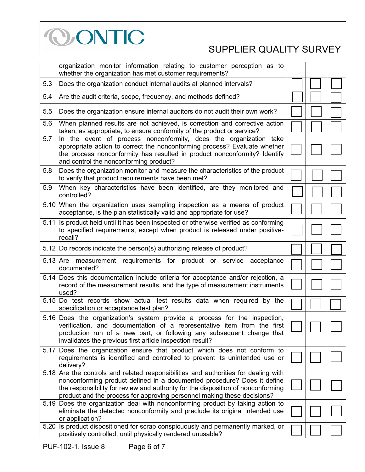

|     | organization monitor information relating to customer perception as to<br>whether the organization has met customer requirements?                                                                                                                                                                                             |  |  |
|-----|-------------------------------------------------------------------------------------------------------------------------------------------------------------------------------------------------------------------------------------------------------------------------------------------------------------------------------|--|--|
| 5.3 | Does the organization conduct internal audits at planned intervals?                                                                                                                                                                                                                                                           |  |  |
| 5.4 | Are the audit criteria, scope, frequency, and methods defined?                                                                                                                                                                                                                                                                |  |  |
| 5.5 | Does the organization ensure internal auditors do not audit their own work?                                                                                                                                                                                                                                                   |  |  |
| 5.6 | When planned results are not achieved, is correction and corrective action<br>taken, as appropriate, to ensure conformity of the product or service?                                                                                                                                                                          |  |  |
| 5.7 | In the event of process nonconformity, does the organization take<br>appropriate action to correct the nonconforming process? Evaluate whether<br>the process nonconformity has resulted in product nonconformity? Identify<br>and control the nonconforming product?                                                         |  |  |
| 5.8 | Does the organization monitor and measure the characteristics of the product<br>to verify that product requirements have been met?                                                                                                                                                                                            |  |  |
| 5.9 | When key characteristics have been identified, are they monitored and<br>controlled?                                                                                                                                                                                                                                          |  |  |
|     | 5.10 When the organization uses sampling inspection as a means of product<br>acceptance, is the plan statistically valid and appropriate for use?                                                                                                                                                                             |  |  |
|     | 5.11 Is product held until it has been inspected or otherwise verified as conforming<br>to specified requirements, except when product is released under positive-<br>recall?                                                                                                                                                 |  |  |
|     | 5.12 Do records indicate the person(s) authorizing release of product?                                                                                                                                                                                                                                                        |  |  |
|     | 5.13 Are measurement requirements for product or service acceptance<br>documented?                                                                                                                                                                                                                                            |  |  |
|     | 5.14 Does this documentation include criteria for acceptance and/or rejection, a<br>record of the measurement results, and the type of measurement instruments<br>used?                                                                                                                                                       |  |  |
|     | 5.15 Do test records show actual test results data when required by the<br>specification or acceptance test plan?                                                                                                                                                                                                             |  |  |
|     | 5.16 Does the organization's system provide a process for the inspection,<br>verification, and documentation of a representative item from the first<br>production run of a new part, or following any subsequent change that<br>invalidates the previous first article inspection result?                                    |  |  |
|     | 5.17 Does the organization ensure that product which does not conform to<br>requirements is identified and controlled to prevent its unintended use or<br>delivery?                                                                                                                                                           |  |  |
|     | 5.18 Are the controls and related responsibilities and authorities for dealing with<br>nonconforming product defined in a documented procedure? Does it define<br>the responsibility for review and authority for the disposition of nonconforming<br>product and the process for approving personnel making these decisions? |  |  |
|     | 5.19 Does the organization deal with nonconforming product by taking action to<br>eliminate the detected nonconformity and preclude its original intended use<br>or application?                                                                                                                                              |  |  |
|     | 5.20 Is product dispositioned for scrap conspicuously and permanently marked, or<br>positively controlled, until physically rendered unusable?                                                                                                                                                                                |  |  |